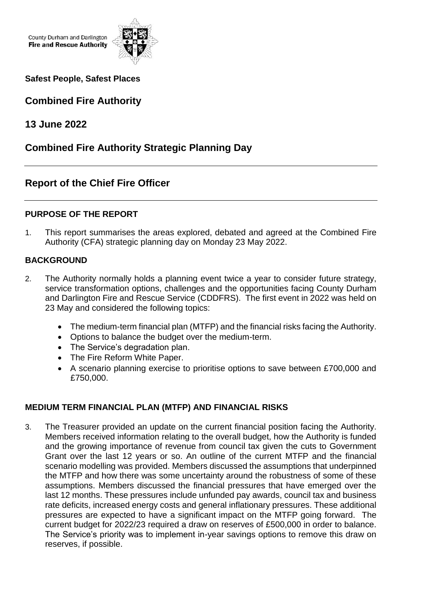County Durham and Darlington **Fire and Rescue Authority** 



**Safest People, Safest Places**

# **Combined Fire Authority**

**13 June 2022**

# **Combined Fire Authority Strategic Planning Day**

## **Report of the Chief Fire Officer**

### **PURPOSE OF THE REPORT**

1. This report summarises the areas explored, debated and agreed at the Combined Fire Authority (CFA) strategic planning day on Monday 23 May 2022.

#### **BACKGROUND**

- 2. The Authority normally holds a planning event twice a year to consider future strategy, service transformation options, challenges and the opportunities facing County Durham and Darlington Fire and Rescue Service (CDDFRS). The first event in 2022 was held on 23 May and considered the following topics:
	- The medium-term financial plan (MTFP) and the financial risks facing the Authority.
	- Options to balance the budget over the medium-term.
	- The Service's degradation plan.
	- The Fire Reform White Paper.
	- A scenario planning exercise to prioritise options to save between £700,000 and £750,000.

### **MEDIUM TERM FINANCIAL PLAN (MTFP) AND FINANCIAL RISKS**

3. The Treasurer provided an update on the current financial position facing the Authority. Members received information relating to the overall budget, how the Authority is funded and the growing importance of revenue from council tax given the cuts to Government Grant over the last 12 years or so. An outline of the current MTFP and the financial scenario modelling was provided. Members discussed the assumptions that underpinned the MTFP and how there was some uncertainty around the robustness of some of these assumptions. Members discussed the financial pressures that have emerged over the last 12 months. These pressures include unfunded pay awards, council tax and business rate deficits, increased energy costs and general inflationary pressures. These additional pressures are expected to have a significant impact on the MTFP going forward. The current budget for 2022/23 required a draw on reserves of £500,000 in order to balance. The Service's priority was to implement in-year savings options to remove this draw on reserves, if possible.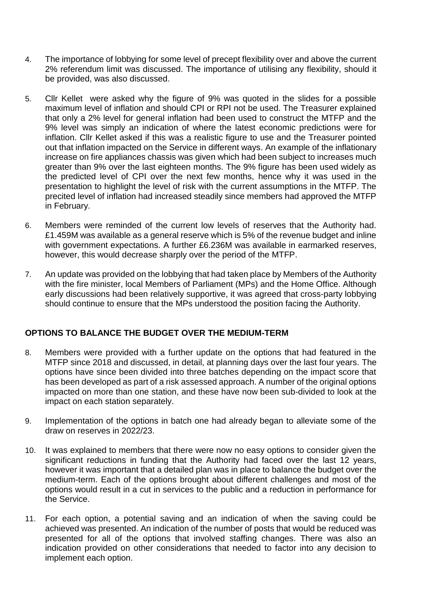- 4. The importance of lobbying for some level of precept flexibility over and above the current 2% referendum limit was discussed. The importance of utilising any flexibility, should it be provided, was also discussed.
- 5. Cllr Kellet were asked why the figure of 9% was quoted in the slides for a possible maximum level of inflation and should CPI or RPI not be used. The Treasurer explained that only a 2% level for general inflation had been used to construct the MTFP and the 9% level was simply an indication of where the latest economic predictions were for inflation. Cllr Kellet asked if this was a realistic figure to use and the Treasurer pointed out that inflation impacted on the Service in different ways. An example of the inflationary increase on fire appliances chassis was given which had been subject to increases much greater than 9% over the last eighteen months. The 9% figure has been used widely as the predicted level of CPI over the next few months, hence why it was used in the presentation to highlight the level of risk with the current assumptions in the MTFP. The precited level of inflation had increased steadily since members had approved the MTFP in February.
- 6. Members were reminded of the current low levels of reserves that the Authority had. £1.459M was available as a general reserve which is 5% of the revenue budget and inline with government expectations. A further £6.236M was available in earmarked reserves, however, this would decrease sharply over the period of the MTFP.
- 7. An update was provided on the lobbying that had taken place by Members of the Authority with the fire minister, local Members of Parliament (MPs) and the Home Office. Although early discussions had been relatively supportive, it was agreed that cross-party lobbying should continue to ensure that the MPs understood the position facing the Authority.

#### **OPTIONS TO BALANCE THE BUDGET OVER THE MEDIUM-TERM**

- 8. Members were provided with a further update on the options that had featured in the MTFP since 2018 and discussed, in detail, at planning days over the last four years. The options have since been divided into three batches depending on the impact score that has been developed as part of a risk assessed approach. A number of the original options impacted on more than one station, and these have now been sub-divided to look at the impact on each station separately.
- 9. Implementation of the options in batch one had already began to alleviate some of the draw on reserves in 2022/23.
- 10. It was explained to members that there were now no easy options to consider given the significant reductions in funding that the Authority had faced over the last 12 years, however it was important that a detailed plan was in place to balance the budget over the medium-term. Each of the options brought about different challenges and most of the options would result in a cut in services to the public and a reduction in performance for the Service.
- 11. For each option, a potential saving and an indication of when the saving could be achieved was presented. An indication of the number of posts that would be reduced was presented for all of the options that involved staffing changes. There was also an indication provided on other considerations that needed to factor into any decision to implement each option.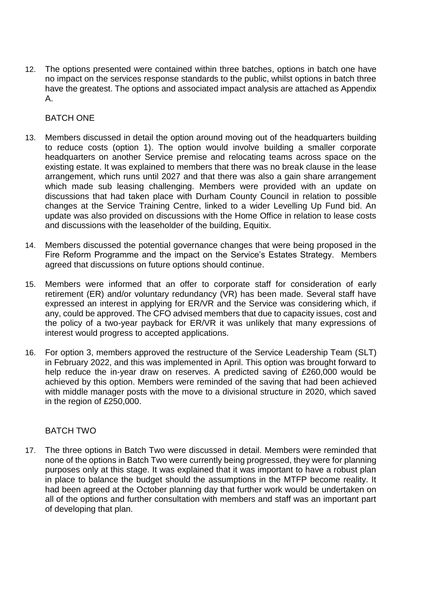12. The options presented were contained within three batches, options in batch one have no impact on the services response standards to the public, whilst options in batch three have the greatest. The options and associated impact analysis are attached as Appendix A.

#### BATCH ONE

- 13. Members discussed in detail the option around moving out of the headquarters building to reduce costs (option 1). The option would involve building a smaller corporate headquarters on another Service premise and relocating teams across space on the existing estate. It was explained to members that there was no break clause in the lease arrangement, which runs until 2027 and that there was also a gain share arrangement which made sub leasing challenging. Members were provided with an update on discussions that had taken place with Durham County Council in relation to possible changes at the Service Training Centre, linked to a wider Levelling Up Fund bid. An update was also provided on discussions with the Home Office in relation to lease costs and discussions with the leaseholder of the building, Equitix.
- 14. Members discussed the potential governance changes that were being proposed in the Fire Reform Programme and the impact on the Service's Estates Strategy. Members agreed that discussions on future options should continue.
- 15. Members were informed that an offer to corporate staff for consideration of early retirement (ER) and/or voluntary redundancy (VR) has been made. Several staff have expressed an interest in applying for ER/VR and the Service was considering which, if any, could be approved. The CFO advised members that due to capacity issues, cost and the policy of a two-year payback for ER/VR it was unlikely that many expressions of interest would progress to accepted applications.
- 16. For option 3, members approved the restructure of the Service Leadership Team (SLT) in February 2022, and this was implemented in April. This option was brought forward to help reduce the in-year draw on reserves. A predicted saving of £260,000 would be achieved by this option. Members were reminded of the saving that had been achieved with middle manager posts with the move to a divisional structure in 2020, which saved in the region of £250,000.

#### BATCH TWO

17. The three options in Batch Two were discussed in detail. Members were reminded that none of the options in Batch Two were currently being progressed, they were for planning purposes only at this stage. It was explained that it was important to have a robust plan in place to balance the budget should the assumptions in the MTFP become reality. It had been agreed at the October planning day that further work would be undertaken on all of the options and further consultation with members and staff was an important part of developing that plan.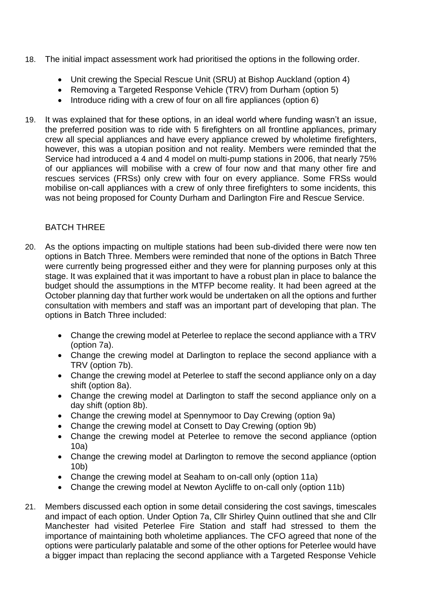- 18. The initial impact assessment work had prioritised the options in the following order.
	- Unit crewing the Special Rescue Unit (SRU) at Bishop Auckland (option 4)
	- Removing a Targeted Response Vehicle (TRV) from Durham (option 5)
	- Introduce riding with a crew of four on all fire appliances (option 6)
- 19. It was explained that for these options, in an ideal world where funding wasn't an issue, the preferred position was to ride with 5 firefighters on all frontline appliances, primary crew all special appliances and have every appliance crewed by wholetime firefighters, however, this was a utopian position and not reality. Members were reminded that the Service had introduced a 4 and 4 model on multi-pump stations in 2006, that nearly 75% of our appliances will mobilise with a crew of four now and that many other fire and rescues services (FRSs) only crew with four on every appliance. Some FRSs would mobilise on-call appliances with a crew of only three firefighters to some incidents, this was not being proposed for County Durham and Darlington Fire and Rescue Service.

#### BATCH THREE

- 20. As the options impacting on multiple stations had been sub-divided there were now ten options in Batch Three. Members were reminded that none of the options in Batch Three were currently being progressed either and they were for planning purposes only at this stage. It was explained that it was important to have a robust plan in place to balance the budget should the assumptions in the MTFP become reality. It had been agreed at the October planning day that further work would be undertaken on all the options and further consultation with members and staff was an important part of developing that plan. The options in Batch Three included:
	- Change the crewing model at Peterlee to replace the second appliance with a TRV (option 7a).
	- Change the crewing model at Darlington to replace the second appliance with a TRV (option 7b).
	- Change the crewing model at Peterlee to staff the second appliance only on a day shift (option 8a).
	- Change the crewing model at Darlington to staff the second appliance only on a day shift (option 8b).
	- Change the crewing model at Spennymoor to Day Crewing (option 9a)
	- Change the crewing model at Consett to Day Crewing (option 9b)
	- Change the crewing model at Peterlee to remove the second appliance (option 10a)
	- Change the crewing model at Darlington to remove the second appliance (option 10b)
	- Change the crewing model at Seaham to on-call only (option 11a)
	- Change the crewing model at Newton Aycliffe to on-call only (option 11b)
- 21. Members discussed each option in some detail considering the cost savings, timescales and impact of each option. Under Option 7a, Cllr Shirley Quinn outlined that she and Cllr Manchester had visited Peterlee Fire Station and staff had stressed to them the importance of maintaining both wholetime appliances. The CFO agreed that none of the options were particularly palatable and some of the other options for Peterlee would have a bigger impact than replacing the second appliance with a Targeted Response Vehicle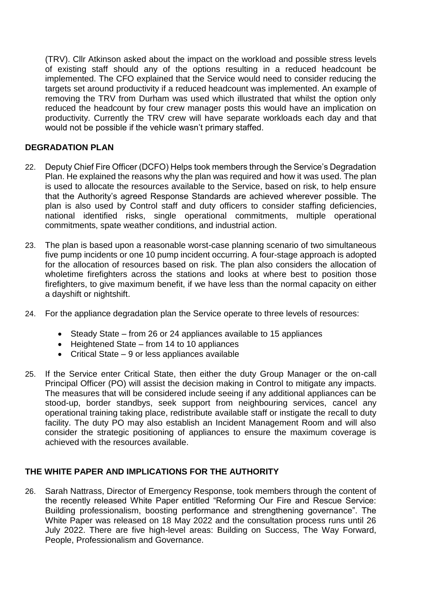(TRV). Cllr Atkinson asked about the impact on the workload and possible stress levels of existing staff should any of the options resulting in a reduced headcount be implemented. The CFO explained that the Service would need to consider reducing the targets set around productivity if a reduced headcount was implemented. An example of removing the TRV from Durham was used which illustrated that whilst the option only reduced the headcount by four crew manager posts this would have an implication on productivity. Currently the TRV crew will have separate workloads each day and that would not be possible if the vehicle wasn't primary staffed.

#### **DEGRADATION PLAN**

- 22. Deputy Chief Fire Officer (DCFO) Helps took members through the Service's Degradation Plan. He explained the reasons why the plan was required and how it was used. The plan is used to allocate the resources available to the Service, based on risk, to help ensure that the Authority's agreed Response Standards are achieved wherever possible. The plan is also used by Control staff and duty officers to consider staffing deficiencies, national identified risks, single operational commitments, multiple operational commitments, spate weather conditions, and industrial action.
- 23. The plan is based upon a reasonable worst-case planning scenario of two simultaneous five pump incidents or one 10 pump incident occurring. A four-stage approach is adopted for the allocation of resources based on risk. The plan also considers the allocation of wholetime firefighters across the stations and looks at where best to position those firefighters, to give maximum benefit, if we have less than the normal capacity on either a dayshift or nightshift.
- 24. For the appliance degradation plan the Service operate to three levels of resources:
	- Steady State from 26 or 24 appliances available to 15 appliances
	- Heightened State from 14 to 10 appliances
	- Critical State 9 or less appliances available
- 25. If the Service enter Critical State, then either the duty Group Manager or the on-call Principal Officer (PO) will assist the decision making in Control to mitigate any impacts. The measures that will be considered include seeing if any additional appliances can be stood-up, border standbys, seek support from neighbouring services, cancel any operational training taking place, redistribute available staff or instigate the recall to duty facility. The duty PO may also establish an Incident Management Room and will also consider the strategic positioning of appliances to ensure the maximum coverage is achieved with the resources available.

#### **THE WHITE PAPER AND IMPLICATIONS FOR THE AUTHORITY**

26. Sarah Nattrass, Director of Emergency Response, took members through the content of the recently released White Paper entitled "Reforming Our Fire and Rescue Service: Building professionalism, boosting performance and strengthening governance". The White Paper was released on 18 May 2022 and the consultation process runs until 26 July 2022. There are five high-level areas: Building on Success, The Way Forward, People, Professionalism and Governance.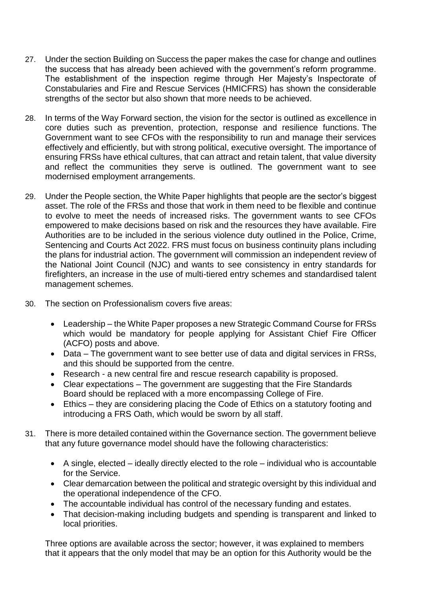- 27. Under the section Building on Success the paper makes the case for change and outlines the success that has already been achieved with the government's reform programme. The establishment of the inspection regime through Her Majesty's Inspectorate of Constabularies and Fire and Rescue Services (HMICFRS) has shown the considerable strengths of the sector but also shown that more needs to be achieved.
- 28. In terms of the Way Forward section, the vision for the sector is outlined as excellence in core duties such as prevention, protection, response and resilience functions. The Government want to see CFOs with the responsibility to run and manage their services effectively and efficiently, but with strong political, executive oversight. The importance of ensuring FRSs have ethical cultures, that can attract and retain talent, that value diversity and reflect the communities they serve is outlined. The government want to see modernised employment arrangements.
- 29. Under the People section, the White Paper highlights that people are the sector's biggest asset. The role of the FRSs and those that work in them need to be flexible and continue to evolve to meet the needs of increased risks. The government wants to see CFOs empowered to make decisions based on risk and the resources they have available. Fire Authorities are to be included in the serious violence duty outlined in the Police, Crime, Sentencing and Courts Act 2022. FRS must focus on business continuity plans including the plans for industrial action. The government will commission an independent review of the National Joint Council (NJC) and wants to see consistency in entry standards for firefighters, an increase in the use of multi-tiered entry schemes and standardised talent management schemes.
- 30. The section on Professionalism covers five areas:
	- Leadership the White Paper proposes a new Strategic Command Course for FRSs which would be mandatory for people applying for Assistant Chief Fire Officer (ACFO) posts and above.
	- Data The government want to see better use of data and digital services in FRSs, and this should be supported from the centre.
	- Research a new central fire and rescue research capability is proposed.
	- Clear expectations The government are suggesting that the Fire Standards Board should be replaced with a more encompassing College of Fire.
	- Ethics they are considering placing the Code of Ethics on a statutory footing and introducing a FRS Oath, which would be sworn by all staff.
- 31. There is more detailed contained within the Governance section. The government believe that any future governance model should have the following characteristics:
	- A single, elected ideally directly elected to the role individual who is accountable for the Service.
	- Clear demarcation between the political and strategic oversight by this individual and the operational independence of the CFO.
	- The accountable individual has control of the necessary funding and estates.
	- That decision-making including budgets and spending is transparent and linked to local priorities.

Three options are available across the sector; however, it was explained to members that it appears that the only model that may be an option for this Authority would be the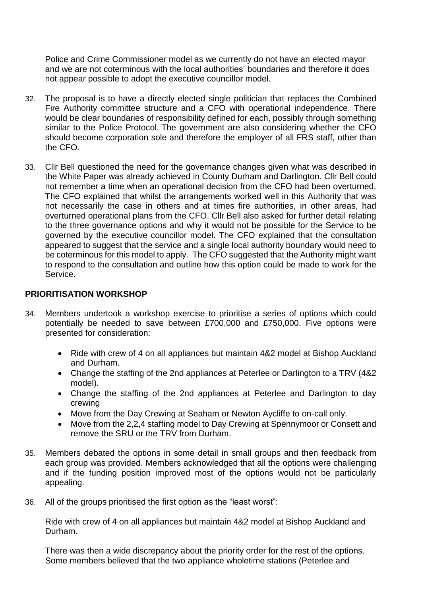Police and Crime Commissioner model as we currently do not have an elected mayor and we are not coterminous with the local authorities' boundaries and therefore it does not appear possible to adopt the executive councillor model.

- 32. The proposal is to have a directly elected single politician that replaces the Combined Fire Authority committee structure and a CFO with operational independence. There would be clear boundaries of responsibility defined for each, possibly through something similar to the Police Protocol. The government are also considering whether the CFO should become corporation sole and therefore the employer of all FRS staff, other than the CFO.
- 33. Cllr Bell questioned the need for the governance changes given what was described in the White Paper was already achieved in County Durham and Darlington. Cllr Bell could not remember a time when an operational decision from the CFO had been overturned. The CFO explained that whilst the arrangements worked well in this Authority that was not necessarily the case in others and at times fire authorities, in other areas, had overturned operational plans from the CFO. Cllr Bell also asked for further detail relating to the three governance options and why it would not be possible for the Service to be governed by the executive councillor model. The CFO explained that the consultation appeared to suggest that the service and a single local authority boundary would need to be coterminous for this model to apply. The CFO suggested that the Authority might want to respond to the consultation and outline how this option could be made to work for the Service.

#### **PRIORITISATION WORKSHOP**

- 34. Members undertook a workshop exercise to prioritise a series of options which could potentially be needed to save between £700,000 and £750,000. Five options were presented for consideration:
	- Ride with crew of 4 on all appliances but maintain 4&2 model at Bishop Auckland and Durham.
	- Change the staffing of the 2nd appliances at Peterlee or Darlington to a TRV (4&2 model).
	- Change the staffing of the 2nd appliances at Peterlee and Darlington to day crewing
	- Move from the Day Crewing at Seaham or Newton Aycliffe to on-call only.
	- Move from the 2,2,4 staffing model to Day Crewing at Spennymoor or Consett and remove the SRU or the TRV from Durham.
- 35. Members debated the options in some detail in small groups and then feedback from each group was provided. Members acknowledged that all the options were challenging and if the funding position improved most of the options would not be particularly appealing.
- 36. All of the groups prioritised the first option as the "least worst":

Ride with crew of 4 on all appliances but maintain 4&2 model at Bishop Auckland and Durham.

There was then a wide discrepancy about the priority order for the rest of the options. Some members believed that the two appliance wholetime stations (Peterlee and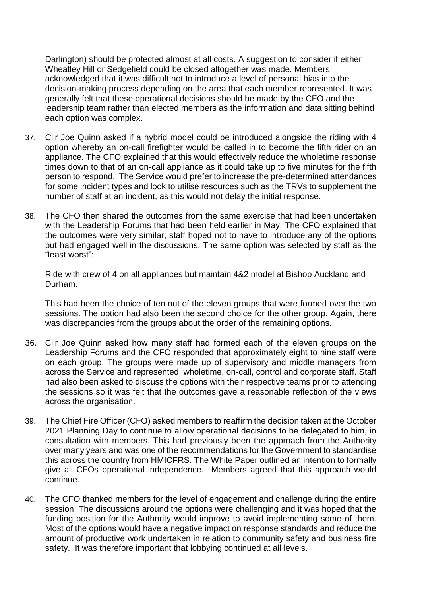Darlington) should be protected almost at all costs. A suggestion to consider if either Wheatley Hill or Sedgefield could be closed altogether was made. Members acknowledged that it was difficult not to introduce a level of personal bias into the decision-making process depending on the area that each member represented. It was generally felt that these operational decisions should be made by the CFO and the leadership team rather than elected members as the information and data sitting behind each option was complex.

- 37. Cllr Joe Quinn asked if a hybrid model could be introduced alongside the riding with 4 option whereby an on-call firefighter would be called in to become the fifth rider on an appliance. The CFO explained that this would effectively reduce the wholetime response times down to that of an on-call appliance as it could take up to five minutes for the fifth person to respond. The Service would prefer to increase the pre-determined attendances for some incident types and look to utilise resources such as the TRVs to supplement the number of staff at an incident, as this would not delay the initial response.
- 38. The CFO then shared the outcomes from the same exercise that had been undertaken with the Leadership Forums that had been held earlier in May. The CFO explained that the outcomes were very similar; staff hoped not to have to introduce any of the options but had engaged well in the discussions. The same option was selected by staff as the "least worst":

Ride with crew of 4 on all appliances but maintain 4&2 model at Bishop Auckland and Durham.

This had been the choice of ten out of the eleven groups that were formed over the two sessions. The option had also been the second choice for the other group. Again, there was discrepancies from the groups about the order of the remaining options.

- 36. Cllr Joe Quinn asked how many staff had formed each of the eleven groups on the Leadership Forums and the CFO responded that approximately eight to nine staff were on each group. The groups were made up of supervisory and middle managers from across the Service and represented, wholetime, on-call, control and corporate staff. Staff had also been asked to discuss the options with their respective teams prior to attending the sessions so it was felt that the outcomes gave a reasonable reflection of the views across the organisation.
- 39. The Chief Fire Officer (CFO) asked members to reaffirm the decision taken at the October 2021 Planning Day to continue to allow operational decisions to be delegated to him, in consultation with members. This had previously been the approach from the Authority over many years and was one of the recommendations for the Government to standardise this across the country from HMICFRS. The White Paper outlined an intention to formally give all CFOs operational independence. Members agreed that this approach would continue.
- 40. The CFO thanked members for the level of engagement and challenge during the entire session. The discussions around the options were challenging and it was hoped that the funding position for the Authority would improve to avoid implementing some of them. Most of the options would have a negative impact on response standards and reduce the amount of productive work undertaken in relation to community safety and business fire safety. It was therefore important that lobbying continued at all levels.